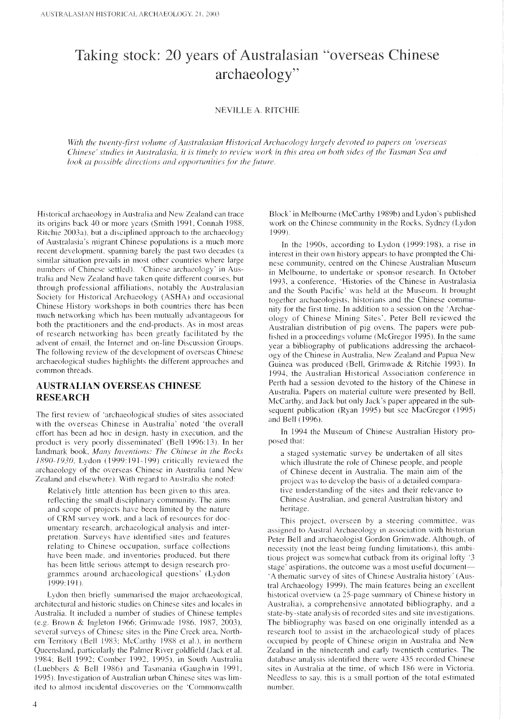# Taking stock: 20 years of Australasian "overseas Chinese" archaeology"

#### **NEVILLE A. RITCHIE**

With the twenty-first volume of Australasian Historical Archaeology largely devoted to papers on 'overseas Chinese' studies in Australasia, it is timely to review work in this area on both sides of the Tasman Sea and look at possible directions and opportunities for the future.

Historical archaeology in Australia and New Zealand can trace its origins back 40 or more years (Smith 1991, Connah 1988, Ritchie 2003a), but a disciplined approach to the archaeology of Australasia's migrant Chinese populations is a much more recent development, spanning barely the past two decades (a similar situation prevails in most other countries where large numbers of Chinese settled). 'Chinese archaeology' in Australia and New Zealand have taken quite different courses, but through professional affiliations, notably the Australasian Society for Historical Archaeology (ASHA) and occasional Chinese History workshops in both countries there has been much networking which has been mutually advantageous for both the practitioners and the end-products. As in most areas of research networking has been greatly facilitated by the advent of email, the Internet and on-line Discussion Groups. The following review of the development of overseas Chinese archaeological studies highlights the different approaches and common threads.

### **AUSTRALIAN OVERSEAS CHINESE RESEARCH**

The first review of 'archaeological studies of sites associated with the overseas Chinese in Australia' noted 'the overall effort has been ad hoc in design, hasty in execution, and the product is very poorly disseminated' (Bell 1996:13). In her landmark book, Many Inventions: The Chinese in the Rocks 1890-1930, Lydon (1999:191-199) critically reviewed the archaeology of the overseas Chinese in Australia (and New Zealand and elsewhere). With regard to Australia she noted:

Relatively little attention has been given to this area, reflecting the small disciplinary community. The aims and scope of projects have been limited by the nature of CRM survey work, and a lack of resources for documentary research, archaeological analysis and interpretation. Surveys have identified sites and features relating to Chinese occupation, surface collections have been made, and inventories produced, but there has been little serious attempt to design research programmes around archaeological questions' (Lydon 1999:191).

Lydon then briefly summarised the major archaeological, architectural and historic studies on Chinese sites and locales in Australia. It included a number of studies of Chinese temples (e.g. Brown & Ingleton 1966; Grimwade 1986, 1987, 2003), several surveys of Chinese sites in the Pine Creek area, Northern Territory (Bell 1983; McCarthy 1988 et al.), in northern Queensland, particularly the Palmer River goldfield (Jack et al. 1984; Bell 1992; Comber 1992, 1995), in South Australia (Luebbers & Bell 1986) and Tasmania (Gaughwin 1991, 1995). Investigation of Australian urban Chinese sites was limited to almost incidental discoveries on the 'Commonwealth

Block' in Melbourne (McCarthy 1989b) and Lydon's published work on the Chinese community in the Rocks, Sydney (Lydon 1999).

In the 1990s, according to Lydon (1999:198), a rise in interest in their own history appears to have prompted the Chinese community, centred on the Chinese Australian Museum in Melbourne, to undertake or sponsor research. In October 1993, a conference, 'Histories of the Chinese in Australasia and the South Pacific' was held at the Museum. It brought together archaeologists, historians and the Chinese community for the first time. In addition to a session on the 'Archaeology of Chinese Mining Sites', Peter Bell reviewed the Australian distribution of pig ovens. The papers were published in a proceedings volume (McGregor 1995). In the same year a bibliography of publications addressing the archaeology of the Chinese in Australia, New Zealand and Papua New Guinea was produced (Bell, Grimwade & Ritchie 1993). In 1994, the Australian Historical Association conference in Perth had a session devoted to the history of the Chinese in Australia. Papers on material culture were presented by Bell, McCarthy, and Jack but only Jack's paper appeared in the subsequent publication (Ryan 1995) but see MacGregor (1995) and Bell (1996).

In 1994 the Museum of Chinese Australian History proposed that:

a staged systematic survey be undertaken of all sites which illustrate the role of Chinese people, and people of Chinese decent in Australia. The main aim of the project was to develop the basis of a detailed comparative understanding of the sites and their relevance to Chinese Australian, and general Australian history and heritage.

This project, overseen by a steering committee, was assigned to Austral Archaeology in association with historian Peter Bell and archaeologist Gordon Grimwade. Although, of necessity (not the least being funding limitations), this ambitious project was somewhat cutback from its original lofty '3 stage' aspirations, the outcome was a most useful document— 'A thematic survey of sites of Chinese Australia history' (Austral Archaeology 1999). The main features being an excellent historical overview (a 25-page summary of Chinese history in Australia), a comprehensive annotated bibliography, and a state-by-state analysis of recorded sites and site investigations. The bibliography was based on one originally intended as a research tool to assist in the archaeological study of places occupied by people of Chinese origin in Australia and New Zealand in the nineteenth and early twentieth centuries. The database analysis identified there were 435 recorded Chinese sites in Australia at the time, of which 186 were in Victoria. Needless to say, this is a small portion of the total estimated number.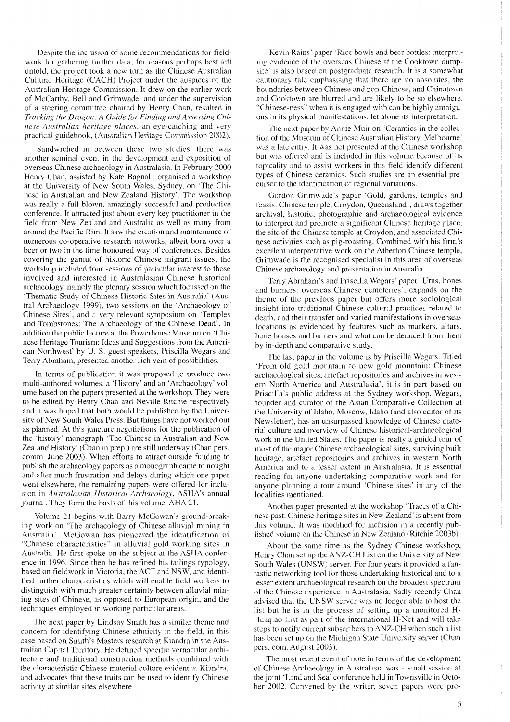Despite the inclusion of some recommendations for fieldwork for gathering further data, for reasons perhaps best left untold, the project took a new turn as the Chinese Australian Cultural Heritage (CACH) Project under the auspices of the Australian Heritage Commission. It drew on the earlier work of McCarthy, Bell and Grimwade, and under the supervision of a steering committee chaired by Henry Chan, resulted in *Tracking the Dragon: A Guide for Finding and Assessing Chinese Australian heritage places*, an eye-catching and very practical guidebook, (Australian Heritage Commission 2002).

Sandwiched in between these two studies, there was another seminal event in the development and exposition of overseas Chinese archaeology in Australasia. In February 2000 Henry Chan, assisted by Kate Bagnall, organised a workshop at the University of New South Wales, Sydney, on 'The Chinese in Australian and New Zealand History'. The workshop was really a full blown, amazingly successful and productive conference. It attracted just about every key practitioner in the field from New Zealand and Australia as well as many from around the Pacific Rim. It saw the creation and maintenance of numerous co-operative research networks, albeit born over a beer or two in the time-honoured way of conferences. Besides covering the gamut of historic Chinese migrant issues, the workshop included four sessions of particular interest to those involved and interested in Australasian Chinese historical archaeology, namely the plenary session which focussed on the 'Thematic Study of Chinese Historic Sites in Australia' (Austral Archaeology 1999), two sessions on the 'Archaeology of Chinese Sites', and a very relevant symposium on 'Temples and Tombstones: The Archaeology of the Chinese Dead'. In addition the public lecture at the Powerhouse Museum on 'Chinese Heritage Tourism: Ideas and Suggestions from the American Northwest' by U. S. guest speakers. Priscilla Wegars and Terry Abraham, presented another rich vein of possibilities.

In terms of publication it was proposed to produce two multi-authored volumes, a 'History' and an 'Archaeology' volume based on the papers presented at the workshop. They were to be edited by Henry Chan and Neville Ritchie respectively and it was hoped that both would be published by the University of New South Wales Press. But things have not worked out as planned. At this juncture negotiations for the publication of the 'history' monograph 'The Chinese in Australian and New Zealand History' (Chan in prep.) are still underway (Chan pers. comm. June 2003). When efforts to attract outside funding to publish the archaeology papers as a monograph came to nought and after much frustration and delays during which one paper went elsewhere, the remaining papers were offered for inclusion in *Australasian Historical Archaeology*, ASHA's annual journal. They form the basis of this volume, AHA 21.

Volume 21 begins with Barry McGowan's ground-breaking work on 'The archaeology of Chinese alluvial mining in Australia'. McGowan has pioneered the identification of "Chinese characteristics" in alluvial gold working sites in Australia. He first spoke on the subject at the ASHA conference in 1996. Since then he has refined his tailings typology, based on fieldwork in Victoria, the ACT and NSW, and identified further characteristics which will enable field workers to distinguish with much greater certainty between alluvial mining sites of Chinese, as opposed to European origin, and the techniques employed in working particular areas.

The next paper by Lindsay Smith has a similar theme and concern for identifying Chinese ethnicity in the field, in this case based on Smith's Masters research at Kiandra in the Australian Capital Territory. He defined specific vernacular architecture and traditional construction methods combined with the characteristic Chinese material culture evident at Kiandra, and advocates that these traits can be used to identify Chinese activity at similar sites elsewhere.

Kevin Rains' paper 'Rice bowls and beer bottles: interpreting evidence of the overseas Chinese at the Cooktown dumpsite' is also based on postgraduate research. It is a somewhat cautionary tale emphasising that there are no absolutes, the boundaries between Chinese and non-Chinese, and Chinatown and Cooktown are blurred and are likely to be so elsewhere. "Chinese-ness" when it is engaged with can be highly ambiguous in its physical manifestations, let alone its interpretation.

The next paper by Annie Muir on 'Ceramics in the collection of the Museum of Chinese Australian History, Melbourne' was a late entry. It was not presented at the Chinese workshop but was offered and is included in this volume because of its topicality and to assist workers in this field identify different types of Chinese ceramics. Such studies are an essential precursor to the identification of regional variations.

Gordon Grimwade's paper 'Gold, gardens, temples and feasts: Chinese temple, Croydon, Queensland', draws together archival. historic. photographic and archaeological evidence to interpret and promote a significant Chinese heritage place, the site of the Chinese temple at Croydon, and associated Chinese activities such as pig-roasting. Combined with his firm's excellent interpretative work on the Atherton Chinese temple, Grimwade is the recognised specialist in this area of overseas Chinese archaeology and presentation in Australia.

Terry Abraham's and Priscilla Wegars' paper 'Urns, bone\ and burners: overseas Chinese cemeteries', expands on the theme of the previous paper but offers more sociological insight into traditional Chinese cultural practices related to death, and their transfer and varied manifestations in overseas locations as evidenced by features such as markers, altars, bone houses and burners and what can be deduced from them by in-depth and comparative study.

The last paper in the volume is by Priscilla Wegars. Titled 'From old gold mountain to new gold mountain: Chinese archaeological sites, artefact repositories and archives in western North America and Australasia', it is in part based on Priscilla's public address at the Sydney workshop. Wegars, founder and curator of the Asian Comparative Collection at the University of Idaho, Moscow, Idaho (and also editor of its Newsletter), has an unsurpassed knowledge of Chinese material culture and overview of Chinese historical-archaeological work in the United States. The paper is really a guided tour of most of the major Chinese archaeological sites, surviving built heritage, artefact repositories and archives in western North America and to a lesser extent in Australasia. It is essential reading for anyone undertaking comparative work and for anyone planning a tour around 'Chinese sites' in any of the localities mentioned

Another paper presented at the workshop 'Traces of a Chinese past: Chinese heritage sites in New Zealand' is absent from this volume. It was modified for inclusion in a recently published volume on the Chinese in New Zealand (Ritchie 2003b).

About the same time as the Sydney Chinese workshop, Henry Chan set up the ANZ-CH List on the University of New South Wales (UNSW) server. For four years it provided a fantastic networking tool for those undertaking historical and to a lesser extent archaeological research on the broadest spectrum of the Chinese experience in Australasia. Sadly recently Chan advised that the UNSW server was no longer able to host the list but he is in the process of setting up a monitored H-Huaqiao List as part of the international H-Net and will take steps to notify current subscribers to ANZ-CH when such a list has been set up on the Michigan State University server (Chan pers. com. August 2003).

The most recent event of note in terms of the development of Chinese Archaeology in Australasia was a small session at the joint 'Land and Sea' conference held in Townsville in October 2002. Convened by the writer, seven papers were pre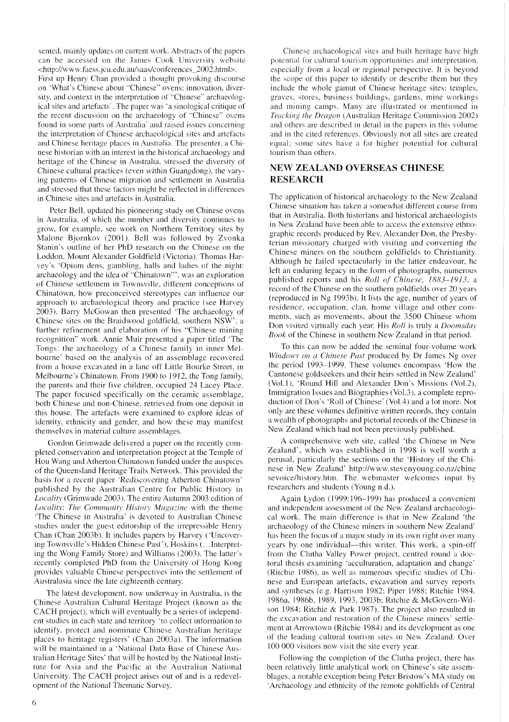sented, mainly updates on current work. Abstracts of the papers can be accessed on the James Cook University website <http://www.faess.jcu.edu.au/saas/conferences\_2002.html>. First up Henry Chan provided a thought provoking discourse on 'What's Chinese about "Chinese" ovens: innovation, diversity, and context in the interpretation of "Chinese" archaeological sites and artefacts'. The paper was 'a sinological critique of the recent discussion on the archaeology of "Chinese" ovens found in some parts of Australia' and raised issues concerning the interpretation of Chinese archaeological sites and artefacts and Chinese heritage places in Australia. The presenter, a Chinese historian with an interest in the historical archaeology and heritage of the Chinese in Australia, stressed the diversity of Chinese cultural practices (even within Guangdong), the varying patterns of Chinese migration and settlement in Australia and stressed that these factors might be reflected in differences in Chinese sites and artefacts in Australia.

Peter Bell, updated his pioneering study on Chinese ovens in Australia, of which the number and diversity continues to grow, for example, see work on Northern Territory sites by Malone Bjornkov (2001). Bell was followed by Zvonka Stanin's outline of her PhD research on the Chinese on the Loddon, Mount Alexander Goldfield (Victoria). Thomas Harvey's 'Opium dens, gambling, halls and ladies of the night: archaeology and the idea of "Chinatown"', was an exploration of Chinese settlement in Townsville, different conceptions of Chinatown, how preconceived stereotypes can influence our approach to archaeological theory and practice (see Harvey 2003). Barry McGowan then presented 'The archaeology of Chinese sites on the Braidwood goldfield, southern NSW', a further refinement and elaboration of his "Chinese mining recognition" work. Annie Muir presented a paper titled 'The Tongs: the archaeology of a Chinese family in inner Melbourne' based on the analysis of an assemblage recovered from a house excavated in a lanc off Little Bourke Street, in Melbourne's Chinatown. From 1900 to 1912, the Tong family, the parents and their five children, occupied 24 Lacey Place. The paper focused specifically on the ceramic assemblage, both Chinese and non-Chinese, retrieved from one deposit in this house. The artefacts were examined to explore ideas of identity, ethnicity and gender, and how these may manifest themselves in material culture assemblages.

Gordon Grimwade delivered a paper on the recently completed conservation and interpretation project at the Temple of Hou Wang and Atherton Chinatown funded under the auspices of the Queensland Heritage Trails Network. This provided the basis for a recent paper 'Rediscovering Atherton Chinatown' published by the Australian Centre for Public History in Locality (Grimwade 2003). The entire Autumn 2003 edition of Locality: The Community History Magazine with the theme 'The Chinese in Australia' is devoted to Australian Chinese studies under the guest editorship of the irrepressible Henry Chan (Chan 2003b). It includes papers by Harvey ('Uncovering Townsville's Hidden Chinese Past'), Hoskins (... Interpreting the Wong Family Store) and Williams (2003). The latter's recently completed PhD from the University of Hong Kong provides valuable Chinese perspectives into the settlement of Australasia since the late eighteenth century.

The latest development, now underway in Australia, is the Chinese Australian Cultural Heritage Project (known as the CACH project), which will eventually be a series of independent studies in each state and territory 'to collect information to identify, protect and nominate Chinese Australian heritage places to heritage registers' (Chan 2003a). The information will be maintained in a 'National Data Base of Chinese Australian Heritage Sites' that will be hosted by the National Institute for Asia and the Pacific at the Australian National University. The CACH project arises out of and is a redevelopment of the National Thematic Survey.

Chinese archaeological sites and built heritage have high potential for cultural tourism opportunities and interpretation, especially from a local or regional perspective. It is beyond the scope of this paper to identify or describe them but they include the whole gamut of Chinese heritage sites: temples, graves, stores, business buildings, gardens, mine workings and mining camps. Many are illustrated or mentioned in *Tracking the Dragon* (Australian Heritage Commission 2002) and others are described in detail in the papers in this volume and in the cited references. Obviously not all sites are created equal; some sites have a far higher potential for cultural tourism than others.

## **NEW ZEALAND OVERSEAS CHINESE RESEARCH**

The application of historical archaeology to the New Zealand Chinese situation has taken a somewhat different course from that in Australia. Both historians and historical archaeologists in New Zealand have been able to access the extensive ethnographic records produced by Rev. Alexander Don, the Presbyterian missionary charged with visiting and converting the Chinese miners on the southern goldfields to Christianity. Although he failed spectacularly in the latter endeavour, he left an enduring legacy in the form of photographs, numerous published reports and his Roll of Chinese, 1883-1913, a record of the Chinese on the southern goldfields over 20 years (reproduced in Ng 1993b). It lists the age, number of years of residence, occupation, clan, home village and other comments, such as movements, about the 3500 Chinese whom Don visited virtually each year. His Roll is truly a Doomsday Book of the Chinese in southern New Zealand in that period.

To this can now be added the seminal four-volume work Windows on a Chinese Past produced by Dr James Ng over the period 1993-1999. These volumes encompass 'How the Cantonese goldseekers and their heirs settled in New Zealand' (Vol.1), 'Round Hill and Alexander Don's Missions (Vol.2), Immigration Issues and Biographies (Vol.3), a complete reproduction of Don's 'Roll of Chinese' (Vol.4) and a lot more. Not only are these volumes definitive written records, they contain a wealth of photographs and pictorial records of the Chinese in New Zealand which had not been previously published.

A comprehensive web site, called 'the Chinese in New Zealand', which was established in 1998 is well worth a perusal, particularly the sections on the 'History of the Chinese in New Zealand' http://www.stevenyoung.co.nz/chine sevoice/history.htm. The webmaster welcomes input by researchers and students (Young n.d.).

Again Lydon (1999:196–199) has produced a convenient and independent assessment of the New Zealand archaeological work. The main difference is that in New Zealand 'the archaeology of the Chinese miners in southern New Zealand' has been the focus of a major study in its own right over many years by one individual—this writer. This work, a spin-off from the Clutha Valley Power project, centred round a doctoral thesis examining 'acculturation, adaptation and change' (Ritchie 1986), as well as numerous specific studies of Chinese and European artefacts, excavation and survey reports and syntheses (e.g. Harrison 1982; Piper 1988; Ritchie 1984, 1986a, 1986b, 1989, 1993, 2003b; Ritchie & McGovern-Wilson 1984; Ritchie & Park 1987). The project also resulted in the excavation and restoration of the Chinese miners' settlement at Arrowtown (Ritchie 1984) and its development as one of the leading cultural tourism sites in New Zealand. Over 100 000 visitors now visit the site every year.

Following the completion of the Clutha project, there has been relatively little analytical work on Chinese's site assemblages, a notable exception being Peter Bristow's MA study on 'Archaeology and ethnicity of the remote goldfields of Central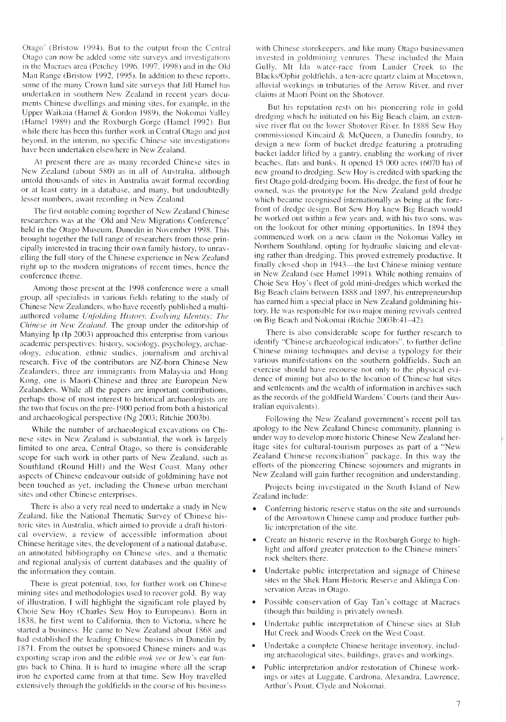Otago' (Bristow 1994). But to the output from the Central Otago can now be added some site surveys and investigations in the Macraes area (Petchey 1996, 1997, 1998) and in the Old Man Range (Bristow 1992, 1995). In addition to these reports, some of the many Crown land site surveys that Jill Hamel has undertaken in southern New Zealand in recent years documents Chinese dwellings and mining sites, for example, in the Upper Waikaia (Hamel & Gordon 1989), the Nokomai Valley (Hamel 1989) and the Roxburgh Gorge (Hamel 1992). But while there has been this further work in Central Otago and just beyond, in the interim, no specific Chinese site investigations have been undertaken elsewhere in New Zealand.

At present there are as many recorded Chinese sites in New Zealand (about 580) as in all of Australia, although untold thousands of sites in Australia await formal recording or at least entry in a database, and many, but undoubtedly lesser numbers, await recording in New Zealand.

The first notable coming together of New Zealand Chinese researchers was at the 'Old and New Migrations Conference' held in the Otago Museum, Dunedin in November 1998. This brought together the full range of researchers from those principally interested in tracing their own family history, to unrayelling the full story of the Chinese experience in New Zealand right up to the modern migrations of recent times, hence the conference theme.

Among those present at the 1998 conference were a small group, all specialists in various fields relating to the study of Chinese New Zealanders, who have recently published a multiauthored volume Unfolding History, Evolving Identity: The Chinese in New Zealand. The group under the editorship of Manying Ip (Ip 2003) approached this enterprise from various academic perspectives: history, sociology, psychology, archaeology, education, ethnic studies, journalism and archival research. Five of the contributors are NZ-born Chinese New Zealanders, three are immigrants from Malaysia and Hong Kong, one is Maori-Chinese and three are European New Zealanders. While all the papers are important contributions, perhaps those of most interest to historical archaeologists are the two that focus on the pre-1900 period from both a historical and archaeological perspective (Ng 2003; Ritchie 2003b).

While the number of archaeological excavations on Chinese sites in New Zealand is substantial, the work is largely limited to one area. Central Otago, so there is considerable scope for such work in other parts of New Zealand, such as Southland (Round Hill) and the West Coast. Many other aspects of Chinese endeavour outside of goldmining have not been touched as yet, including the Chinese urban merchant sites and other Chinese enterprises.

There is also a very real need to undertake a study in New Zealand, like the National Thematic Survey of Chinese historic sites in Australia, which aimed to provide a draft historical overview, a review of accessible information about Chinese heritage sites, the development of a national database, an annotated bibliography on Chinese sites, and a thematic and regional analysis of current databases and the quality of the information they contain.

There is great potential, too, for further work on Chinese mining sites and methodologies used to recover gold. By way of illustration, I will highlight the significant role played by Choie Sew Hoy (Charles Sew Hoy to Europeans). Born in 1838, he first went to California, then to Victoria, where he started a business. He came to New Zealand about 1868 and had established the leading Chinese business in Dunedin by 1871. From the outset he sponsored Chinese miners and was exporting scrap iron and the edible *muk vee* or Jew's ear fungus back to China. It is hard to imagine where all the scrap iron he exported came from at that time. Sew Hoy travelled extensively through the goldfields in the course of his business

with Chinese storekeepers, and like many Otago businessmen invested in goldmining ventures. These included the Main Gully, Mt Ida water-race from Lauder Creek to the Blacks/Ophir goldfields, a ten-acre quartz claim at Macetown, alluvial workings in tributaries of the Arrow River, and river claims at Maori Point on the Shotover.

But his reputation rests on his pioneering role in gold dredging which he initiated on his Big Beach claim, an extensive river flat on the lower Shotover River. In 1888 Sew Hoy commissioned Kincaird & McQueen, a Dunedin foundry, to design a new form of bucket dredge featuring a protruding bucket ladder lifted by a gantry, enabling the working of river beaches, flats and banks. It opened 15 000 acres (6070 ha) of new ground to dredging. Sew Hoy is credited with sparking the first Otago gold-dredging boom. His dredge, the first of four he owned, was the prototype for the New Zealand gold dredge which became recognised internationally as being at the forefront of dredge design. But Sew Hoy knew Big Beach would be worked out within a few years and, with his two sons, was on the lookout for other mining opportunities. In 1894 they commenced work on a new claim in the Nokomai Valley in Northern Southland, opting for hydraulic sluicing and elevating rather than dredging. This proved extremely productive. It finally closed shop in 1943—the last Chinese mining venture in New Zealand (see Hamel 1991). While nothing remains of Choie Sew Hoy's fleet of gold mini-dredges which worked the Big Beach claim between 1888 and 1897, his entrepreneurship has earned him a special place in New Zealand goldmining history. He was responsible for two major mining revivals centred on Big Beach and Nokomai (Ritchie 2003b:41-42).

There is also considerable scope for further research to identify "Chinese archaeological indicators", to further define Chinese mining techniques and devise a typology for their various manifestations on the southern goldfields. Such an exercise should have recourse not only to the physical evidence of mining but also to the location of Chinese hut sites and settlements and the wealth of information in archives such as the records of the goldfield Wardens' Courts (and their Australian equivalents).

Following the New Zealand government's recent poll tax apology to the New Zealand Chinese community, planning is under way to develop more historic Chinese New Zealand heritage sites for cultural-tourism purposes as part of a "New Zealand Chinese reconciliation" package. In this way the efforts of the pioneering Chinese sojourners and migrants in New Zealand will gain further recognition and understanding.

Projects being investigated in the South Island of New Zealand include:

- Conferring historic reserve status on the site and surrounds of the Arrowtown Chinese camp and produce further public interpretation of the site.
- Create an historic reserve in the Roxburgh Gorge to highlight and afford greater protection to the Chinese miners' rock shelters there.
- Undertake public interpretation and signage of Chinese sites in the Shek Harn Historic Reserve and Aldinga Conservation Areas in Otago.
- Possible conservation of Gay Tan's cottage at Macraes (though this building is privately owned).
- Undertake public interpretation of Chinese sites at Slab Hut Creek and Woods Creek on the West Coast.
- Undertake a complete Chinese heritage inventory, including archaeological sites, buildings, graves and workings.
- Public interpretation and/or restoration of Chinese workings or sites at Luggate, Cardrona, Alexandra, Lawrence, Arthur's Point, Clyde and Nokomai.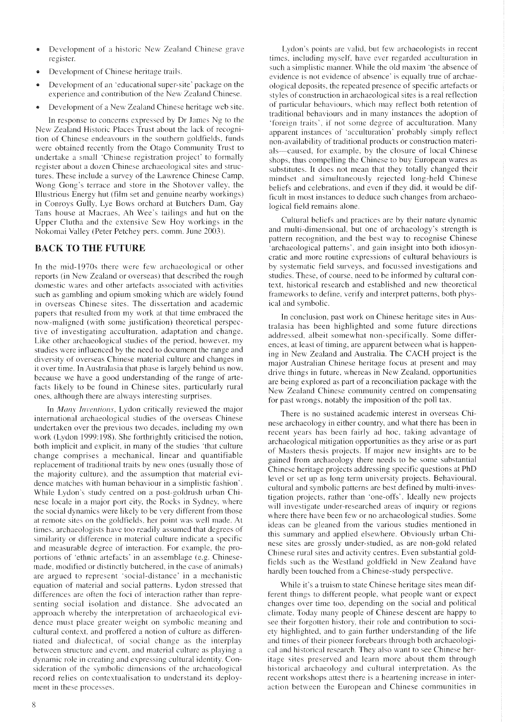- Development of a historic New Zealand Chinese grave register.
- Development of Chinese heritage trails.
- Development of an 'educational super-site' package on the experience and contribution of the New Zealand Chinese.
- Development of a New Zealand Chinese heritage web site.

In response to concerns expressed by Dr James Ng to the New Zealand Historic Places Trust about the lack of recognition of Chinese endeavours in the southern goldfields, funds were obtained recently from the Otago Community Trust to undertake a small 'Chinese registration project' to formally register about a dozen Chinese archaeological sites and structures. These include a survey of the Lawrence Chinese Camp, Wong Gong's terrace and store in the Shotover valley, the Illustrious Energy hut (film set and genuine nearby workings) in Conroys Gully, Lye Bows orchard at Butchers Dam, Gay Tans house at Macraes, Ah Wee's tailings and hut on the Upper Clutha and the extensive Sew Hoy workings in the Nokomai Valley (Peter Petchey pers. comm. June 2003).

## **BACK TO THE FUTURE**

In the mid-1970s there were few archaeological or other reports (in New Zealand or overseas) that described the rough domestic wares and other artefacts associated with activities such as gambling and opium smoking which are widely found in overseas Chinese sites. The dissertation and academic papers that resulted from my work at that time embraced the now-maligned (with some justification) theoretical perspective of investigating acculturation, adaptation and change. Like other archaeological studies of the period, however, my studies were influenced by the need to document the range and diversity of overseas Chinese material culture and changes in it over time. In Australasia that phase is largely behind us now, because we have a good understanding of the range of artefacts likely to be found in Chinese sites, particularly rural ones, although there are always interesting surprises.

In Many Inventions, Lydon critically reviewed the major international archaeological studies of the overseas Chinese undertaken over the previous two decades, including my own work (Lydon 1999:198). She forthrightly criticised the notion, both implicit and explicit, in many of the studies 'that culture change comprises a mechanical, linear and quantifiable replacement of traditional traits by new ones (usually those of the majority culture), and the assumption that material evidence matches with human behaviour in a simplistic fashion'. While Lydon's study centred on a post-goldrush urban Chinese locale in a major port city, the Rocks in Sydney, where the social dynamics were likely to be very different from those at remote sites on the goldfields, her point was well made. At times, archaeologists have too readily assumed that degrees of similarity or difference in material culture indicate a specific and measurable degree of interaction. For example, the proportions of 'ethnic artefacts' in an assemblage (e.g. Chinesemade, modified or distinctly butchered, in the case of animals) are argued to represent 'social-distance' in a mechanistic equation of material and social patterns. Lydon stressed that differences are often the foci of interaction rather than representing social isolation and distance. She advocated an approach whereby the interpretation of archaeological evidence must place greater weight on symbolic meaning and cultural context, and proffered a notion of culture as differentiated and dialectical, of social change as the interplay between structure and event, and material culture as playing a dynamic role in creating and expressing cultural identity. Consideration of the symbolic dimensions of the archaeological record relies on contextualisation to understand its deployment in these processes.

Lydon's points are valid, but few archaeologists in recent times, including myself, have ever regarded acculturation in such a simplistic manner. While the old maxim 'the absence of evidence is not evidence of absence' is equally true of archaeological deposits, the repeated presence of specific artefacts or styles of construction in archaeological sites is a real reflection of particular behaviours, which may reflect both retention of traditional behaviours and in many instances the adoption of 'foreign traits', if not some degree of acculturation. Many apparent instances of 'acculturation' probably simply reflect non-availability of traditional products or construction materials—caused, for example, by the closure of local Chinese shops, thus compelling the Chinese to buy European wares as substitutes. It does not mean that they totally changed their mindset and simultaneously rejected long-held Chinese beliefs and celebrations, and even if they did, it would be difficult in most instances to deduce such changes from archaeological field remains alone.

Cultural beliefs and practices are by their nature dynamic and multi-dimensional, but one of archaeology's strength is pattern recognition, and the best way to recognise Chinese 'archaeological patterns', and gain insight into both idiosyncratic and more routine expressions of cultural behaviours is by systematic field surveys, and focussed investigations and studies. These, of course, need to be informed by cultural context, historical research and established and new theoretical frameworks to define, verify and interpret patterns, both physical and symbolic.

In conclusion, past work on Chinese heritage sites in Australasia has been highlighted and some future directions addressed, albeit somewhat non-specifically. Some differences, at least of timing, are apparent between what is happening in New Zealand and Australia. The CACH project is the major Australian Chinese heritage focus at present and may drive things in future, whereas in New Zealand, opportunities are being explored as part of a reconciliation package with the New Zealand Chinese community centred on compensating for past wrongs, notably the imposition of the poll tax.

There is no sustained academic interest in overseas Chinese archaeology in either country, and what there has been in recent years has been fairly ad hoc, taking advantage of archaeological mitigation opportunities as they arise or as part of Masters thesis projects. If major new insights are to be gained from archaeology there needs to be some substantial Chinese heritage projects addressing specific questions at PhD level or set up as long term university projects. Behavioural, cultural and symbolic patterns are best defined by multi-investigation projects, rather than 'one-offs'. Ideally new projects will investigate under-researched areas of inquiry or regions where there have been few or no archaeological studies. Some ideas can be gleaned from the various studies mentioned in this summary and applied elsewhere. Obviously urban Chinese sites are grossly under-studied, as are non-gold related Chinese rural sites and activity centres. Even substantial goldfields such as the Westland goldfield in New Zealand have hardly been touched from a Chinese-study perspective.

While it's a truism to state Chinese heritage sites mean different things to different people, what people want or expect changes over time too, depending on the social and political climate. Today many people of Chinese descent are happy to see their forgotten history, their role and contribution to society highlighted, and to gain further understanding of the life and times of their pioneer forebears through both archaeological and historical research. They also want to see Chinese heritage sites preserved and learn more about them through historical archaeology and cultural interpretation. As the recent workshops attest there is a heartening increase in interaction between the European and Chinese communities in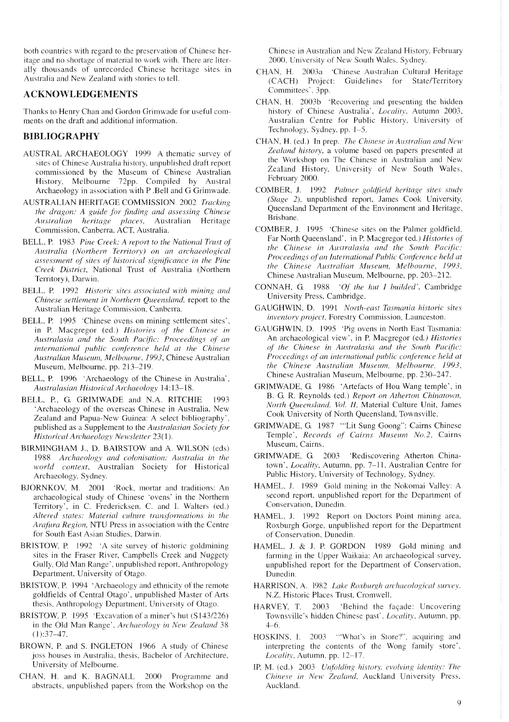both countries with regard to the preservation of Chinese heritage and no shortage of material to work with. There are literally thousands of unrecorded Chinese heritage sites in Australia and New Zealand with stories to tell.

#### **ACKNOWLEDGEMENTS**

Thanks to Henry Chan and Gordon Grimwade for useful comments on the draft and additional information.

#### **BIBLIOGRAPHY**

- AUSTRAL ARCHAEOLOGY 1999 A thematic survey of sites of Chinese Australia history, unpublished draft report commissioned by the Museum of Chinese Australian History, Melbourne 72pp. Compiled by Austral Archaeology in association with P.Bell and G Grimwade.
- **AUSTRALIAN HERITAGE COMMISSION 2002 Tracking** the dragon: A guide for finding and assessing Chinese Australian heritage places, Australian Heritage<br>Commission, Canberra, ACT, Australia.
- BELL, P. 1983 Pine Creek: A report to the National Trust of Australia (Northern Territory) on an archaeological assessment of sites of historical significance in the Pine Creek District, National Trust of Australia (Northern Territory), Darwin.
- BELL, P. 1992 Historic sites associated with mining and Chinese settlement in Northern Queensland, report to the Australian Heritage Commission, Canberra.
- BELL, P. 1995 'Chinese ovens on mining settlement sites', in P. Macgregor (ed.) Histories of the Chinese in Australasia and the South Pacific: Proceedings of an international public conference held at the Chinese Australian Museum, Melbourne, 1993, Chinese Australian Museum, Melbourne, pp. 213-219.
- BELL, P. 1996 'Archaeology of the Chinese in Australia', Australasian Historical Archaeology 14:13-18.
- BELL, P., G. GRIMWADE and N.A. RITCHIE 1993 'Archaeology of the overseas Chinese in Australia, New Zealand and Papua-New Guinea: A select bibliography', published as a Supplement to the Australasian Society for Historical Archaeology Newsletter 23(1).
- BIRMINGHAM J., D. BAIRSTOW and A. WILSON (eds) 1988 Archaeology and colonisation: Australia in the world context, Australian Society for Historical Archaeology, Sydney.
- BJORNKOV, M. 2001 'Rock, mortar and traditions: An archaeological study of Chinese 'ovens' in the Northern Territory', in C. Fredericksen, C. and I. Walters (ed.) Altered states: Material culture transformations in the Arafura Region, NTU Press in association with the Centre for South East Asian Studies, Darwin.
- BRISTOW, P. 1992 'A site survey of historic goldmining sites in the Fraser River, Campbells Creek and Nuggety Gully, Old Man Range', unpublished report, Anthropology Department, University of Otago.
- BRISTOW, P. 1994 'Archaeology and ethnicity of the remote goldfields of Central Otago', unpublished Master of Arts thesis, Anthropology Department, University of Otago.
- BRISTOW, P. 1995 'Excavation of a miner's hut (S143/226) in the Old Man Range', Archaeology in New Zealand 38  $(1):37-47.$
- BROWN, P. and S. INGLETON 1966 A study of Chinese joss houses in Australia, thesis, Bachelor of Architecture, University of Melbourne.
- CHAN, H. and K. BAGNALL 2000 Programme and abstracts, unpublished papers from the Workshop on the

Chinese in Australian and New Zealand History, February 2000, University of New South Wales, Sydney.

- CHAN, H. 2003a 'Chinese Australian Cultural Heritage (CACH) Project: Guidelines for State/Territory Committees', 3pp.
- CHAN, H. 2003b 'Recovering and presenting the hidden history of Chinese Australia', Locality, Autumn 2003, Australian Centre for Public History, University of Technology, Sydney, pp. 1–5.
- CHAN, H. (ed.) In prep. The Chinese in Australian and New Zealand history, a volume based on papers presented at the Workshop on The Chinese in Australian and New Zealand History, University of New South Wales, February 2000.
- COMBER, J. 1992 Palmer goldfield heritage sites study (Stage 2), unpublished report, James Cook University, Queensland Department of the Environment and Heritage, **Brishane**
- COMBER, J. 1995 'Chinese sites on the Palmer goldfield, Far North Oueensland', in P. Macgregor (ed.) Histories of the Chinese in Australasia and the South Pacific: Proceedings of an International Public Conference held at the Chinese Australian Museum, Melbourne, 1993, Chinese Australian Museum, Melbourne, pp. 203-212.
- CONNAH, G. 1988 'Of the hut I builded', Cambridge University Press, Cambridge.
- GAUGHWIN, D. 1991 North-east Tasmania historic sites inventory project, Forestry Commission, Launceston.
- GAUGHWIN, D. 1995 'Pig ovens in North East Tasmania: An archaeological view', in P. Macgregor (ed.) Histories of the Chinese in Australasia and the South Pacific: Proceedings of an international public conference held at the Chinese Australian Museum, Melbourne, 1993, Chinese Australian Museum, Melbourne, pp. 230-247.
- GRIMWADE, G. 1986 'Artefacts of Hou Wang temple', in B. G. R. Reynolds (ed.) Report on Atherton Chinatown, North Queensland. Vol. II, Material Culture Unit, James Cook University of North Queensland, Townsville.
- GRIMWADE, G. 1987 "Lit Sung Goong": Cairns Chinese Temple', Records of Cairns Museum No.2, Cairns Museum, Cairns.
- GRIMWADE, G. 2003 'Rediscovering Atherton Chinatown', *Locality*, Autumn, pp. 7–11, Australian Centre for Public History, University of Technology, Sydney.
- HAMEL, J. 1989 Gold mining in the Nokomai Valley: A second report, unpublished report for the Department of Conservation, Dunedin.
- HAMEL, J. 1992 Report on Doctors Point mining area, Roxburgh Gorge, unpublished report for the Department of Conservation, Dunedin.
- HAMEL, J. & J. P. GORDON 1989 Gold mining and farming in the Upper Waikaia: An archaeological survey, unpublished report for the Department of Conservation, Dunedin.
- HARRISON, A. 1982 Lake Roxburgh archaeological survey. N.Z. Historic Places Trust, Cromwell.
- HARVEY, T. 2003 Behind the façade: Uncovering Townsville's hidden Chinese past', Locality, Autumn, pp.  $4 - 6$
- HOSKINS, I. 2003 "What's in Store?", acquiring and interpreting the contents of the Wong family store', Locality, Autumn, pp. 12-17.
- IP, M. (ed.) 2003 Unfolding history, evolving identity: The Chinese in New Zealand, Auckland University Press, Auckland.